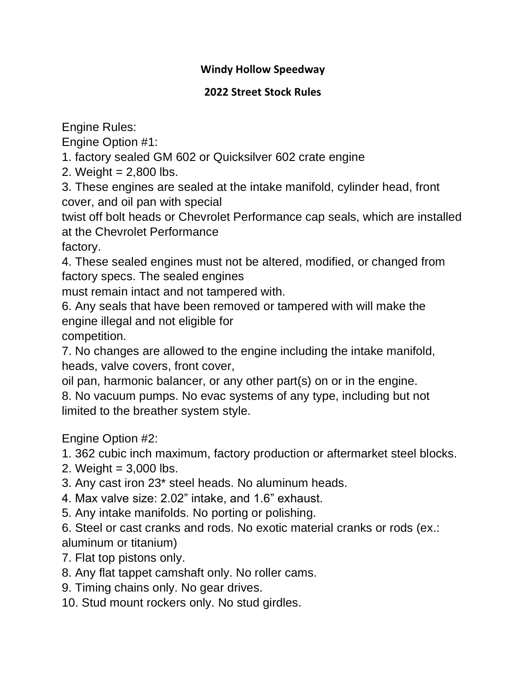## **Windy Hollow Speedway**

## **2022 Street Stock Rules**

Engine Rules:

Engine Option #1:

1. factory sealed GM 602 or Quicksilver 602 crate engine

2. Weight  $= 2,800$  lbs.

3. These engines are sealed at the intake manifold, cylinder head, front cover, and oil pan with special

twist off bolt heads or Chevrolet Performance cap seals, which are installed at the Chevrolet Performance

factory.

4. These sealed engines must not be altered, modified, or changed from factory specs. The sealed engines

must remain intact and not tampered with.

6. Any seals that have been removed or tampered with will make the engine illegal and not eligible for

competition.

7. No changes are allowed to the engine including the intake manifold, heads, valve covers, front cover,

oil pan, harmonic balancer, or any other part(s) on or in the engine. 8. No vacuum pumps. No evac systems of any type, including but not limited to the breather system style.

Engine Option #2:

1. 362 cubic inch maximum, factory production or aftermarket steel blocks.

- 2. Weight  $= 3,000$  lbs.
- 3. Any cast iron 23\* steel heads. No aluminum heads.
- 4. Max valve size: 2.02" intake, and 1.6" exhaust.
- 5. Any intake manifolds. No porting or polishing.

6. Steel or cast cranks and rods. No exotic material cranks or rods (ex.: aluminum or titanium)

- 7. Flat top pistons only.
- 8. Any flat tappet camshaft only. No roller cams.
- 9. Timing chains only. No gear drives.
- 10. Stud mount rockers only. No stud girdles.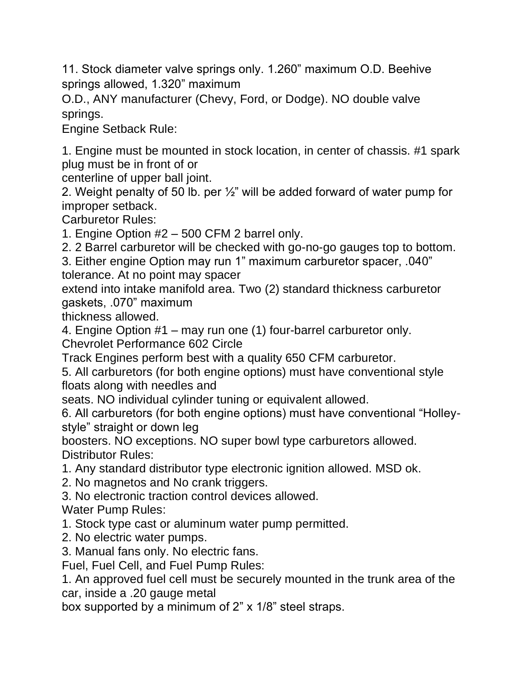11. Stock diameter valve springs only. 1.260" maximum O.D. Beehive springs allowed, 1.320" maximum

O.D., ANY manufacturer (Chevy, Ford, or Dodge). NO double valve springs.

Engine Setback Rule:

1. Engine must be mounted in stock location, in center of chassis. #1 spark plug must be in front of or

centerline of upper ball joint.

2. Weight penalty of 50 lb. per ½" will be added forward of water pump for improper setback.

Carburetor Rules:

1. Engine Option #2 – 500 CFM 2 barrel only.

2. 2 Barrel carburetor will be checked with go-no-go gauges top to bottom.

3. Either engine Option may run 1" maximum carburetor spacer, .040" tolerance. At no point may spacer

extend into intake manifold area. Two (2) standard thickness carburetor gaskets, .070" maximum

thickness allowed.

4. Engine Option #1 – may run one (1) four-barrel carburetor only. Chevrolet Performance 602 Circle

Track Engines perform best with a quality 650 CFM carburetor.

5. All carburetors (for both engine options) must have conventional style floats along with needles and

seats. NO individual cylinder tuning or equivalent allowed.

6. All carburetors (for both engine options) must have conventional "Holleystyle" straight or down leg

boosters. NO exceptions. NO super bowl type carburetors allowed. Distributor Rules:

- 1. Any standard distributor type electronic ignition allowed. MSD ok.
- 2. No magnetos and No crank triggers.
- 3. No electronic traction control devices allowed.
- Water Pump Rules:
- 1. Stock type cast or aluminum water pump permitted.
- 2. No electric water pumps.

3. Manual fans only. No electric fans.

Fuel, Fuel Cell, and Fuel Pump Rules:

1. An approved fuel cell must be securely mounted in the trunk area of the car, inside a .20 gauge metal

box supported by a minimum of 2" x 1/8" steel straps.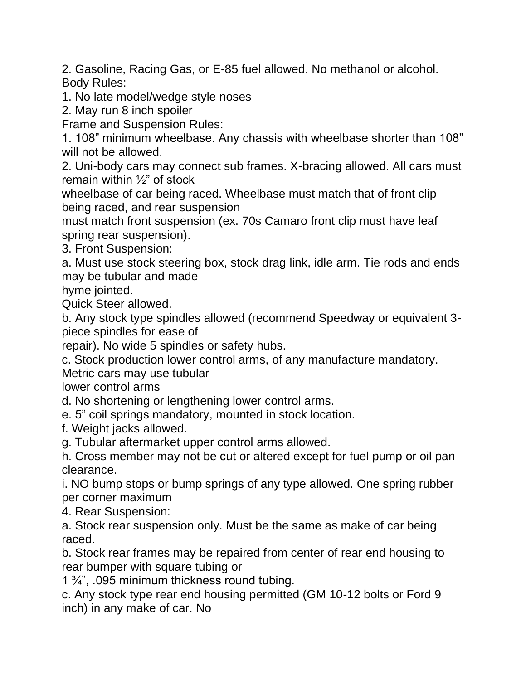2. Gasoline, Racing Gas, or E-85 fuel allowed. No methanol or alcohol. Body Rules:

1. No late model/wedge style noses

2. May run 8 inch spoiler

Frame and Suspension Rules:

1. 108" minimum wheelbase. Any chassis with wheelbase shorter than 108" will not be allowed.

2. Uni-body cars may connect sub frames. X-bracing allowed. All cars must remain within  $\frac{1}{2}$ " of stock

wheelbase of car being raced. Wheelbase must match that of front clip being raced, and rear suspension

must match front suspension (ex. 70s Camaro front clip must have leaf spring rear suspension).

3. Front Suspension:

a. Must use stock steering box, stock drag link, idle arm. Tie rods and ends may be tubular and made

hyme jointed.

Quick Steer allowed.

b. Any stock type spindles allowed (recommend Speedway or equivalent 3 piece spindles for ease of

repair). No wide 5 spindles or safety hubs.

c. Stock production lower control arms, of any manufacture mandatory.

Metric cars may use tubular

lower control arms

d. No shortening or lengthening lower control arms.

e. 5" coil springs mandatory, mounted in stock location.

f. Weight jacks allowed.

g. Tubular aftermarket upper control arms allowed.

h. Cross member may not be cut or altered except for fuel pump or oil pan clearance.

i. NO bump stops or bump springs of any type allowed. One spring rubber per corner maximum

4. Rear Suspension:

a. Stock rear suspension only. Must be the same as make of car being raced.

b. Stock rear frames may be repaired from center of rear end housing to rear bumper with square tubing or

1 ¾", .095 minimum thickness round tubing.

c. Any stock type rear end housing permitted (GM 10-12 bolts or Ford 9 inch) in any make of car. No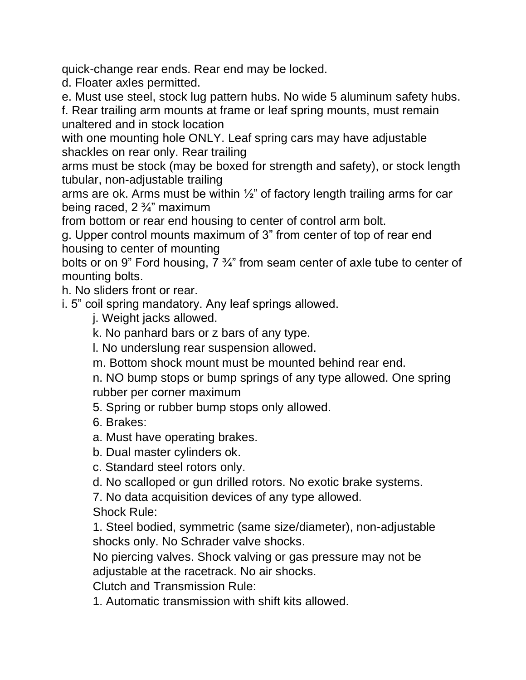quick-change rear ends. Rear end may be locked.

d. Floater axles permitted.

e. Must use steel, stock lug pattern hubs. No wide 5 aluminum safety hubs.

f. Rear trailing arm mounts at frame or leaf spring mounts, must remain unaltered and in stock location

with one mounting hole ONLY. Leaf spring cars may have adjustable shackles on rear only. Rear trailing

arms must be stock (may be boxed for strength and safety), or stock length tubular, non-adjustable trailing

arms are ok. Arms must be within ½" of factory length trailing arms for car being raced, 2 ¾" maximum

from bottom or rear end housing to center of control arm bolt.

g. Upper control mounts maximum of 3" from center of top of rear end housing to center of mounting

bolts or on 9" Ford housing, 7 ¾" from seam center of axle tube to center of mounting bolts.

h. No sliders front or rear.

i. 5" coil spring mandatory. Any leaf springs allowed.

j. Weight jacks allowed.

k. No panhard bars or z bars of any type.

l. No underslung rear suspension allowed.

m. Bottom shock mount must be mounted behind rear end.

n. NO bump stops or bump springs of any type allowed. One spring rubber per corner maximum

5. Spring or rubber bump stops only allowed.

- 6. Brakes:
- a. Must have operating brakes.

b. Dual master cylinders ok.

c. Standard steel rotors only.

d. No scalloped or gun drilled rotors. No exotic brake systems.

7. No data acquisition devices of any type allowed.

Shock Rule:

1. Steel bodied, symmetric (same size/diameter), non-adjustable shocks only. No Schrader valve shocks.

No piercing valves. Shock valving or gas pressure may not be adjustable at the racetrack. No air shocks.

Clutch and Transmission Rule:

1. Automatic transmission with shift kits allowed.